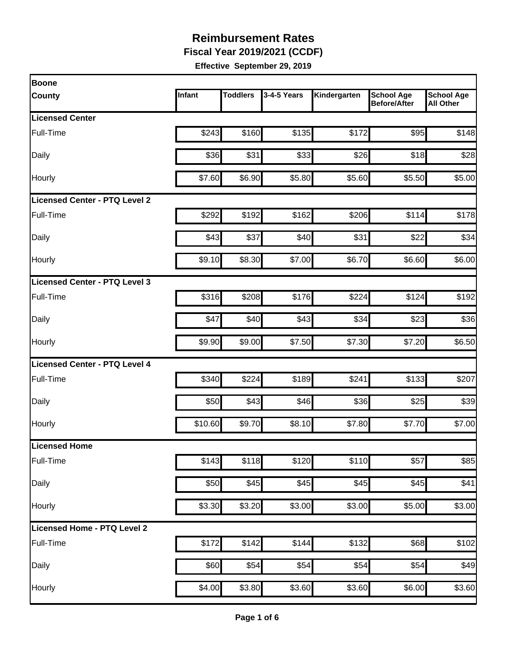**Fiscal Year 2019/2021 (CCDF)** 

| Boone                         |         |                 |             |              |                                          |                                       |
|-------------------------------|---------|-----------------|-------------|--------------|------------------------------------------|---------------------------------------|
| <b>County</b>                 | Infant  | <b>Toddlers</b> | 3-4-5 Years | Kindergarten | <b>School Age</b><br><b>Before/After</b> | <b>School Age</b><br><b>All Other</b> |
| <b>Licensed Center</b>        |         |                 |             |              |                                          |                                       |
| Full-Time                     | \$243   | \$160           | \$135       | \$172        | \$95                                     | \$148                                 |
| Daily                         | \$36    | \$31            | \$33        | \$26         | \$18                                     | \$28                                  |
| Hourly                        | \$7.60  | \$6.90          | \$5.80      | \$5.60       | \$5.50                                   | \$5.00                                |
| Licensed Center - PTQ Level 2 |         |                 |             |              |                                          |                                       |
| Full-Time                     | \$292   | \$192           | \$162       | \$206        | \$114                                    | \$178                                 |
| Daily                         | \$43    | \$37            | \$40        | \$31         | \$22                                     | \$34                                  |
| Hourly                        | \$9.10  | \$8.30          | \$7.00      | \$6.70       | \$6.60                                   | \$6.00                                |
| Licensed Center - PTQ Level 3 |         |                 |             |              |                                          |                                       |
| Full-Time                     | \$316   | \$208           | \$176       | \$224        | \$124                                    | \$192                                 |
| Daily                         | \$47    | \$40            | \$43        | \$34         | \$23                                     | \$36                                  |
| Hourly                        | \$9.90  | \$9.00          | \$7.50      | \$7.30       | \$7.20                                   | \$6.50                                |
| Licensed Center - PTQ Level 4 |         |                 |             |              |                                          |                                       |
| Full-Time                     | \$340   | \$224           | \$189       | \$241        | \$133                                    | \$207                                 |
| Daily                         | \$50    | \$43            | \$46        | \$36         | \$25                                     | \$39                                  |
| Hourly                        | \$10.60 | \$9.70          | \$8.10      | \$7.80       | \$7.70                                   | \$7.00                                |
| Licensed Home                 |         |                 |             |              |                                          |                                       |
| Full-Time                     | \$143   | \$118           | \$120       | \$110        | \$57                                     | \$85                                  |
| Daily                         | \$50    | \$45            | \$45        | \$45         | \$45                                     | \$41                                  |
| Hourly                        | \$3.30  | \$3.20          | \$3.00      | \$3.00       | \$5.00                                   | \$3.00                                |
| Licensed Home - PTQ Level 2   |         |                 |             |              |                                          |                                       |
| Full-Time                     | \$172   | \$142           | \$144       | \$132        | \$68                                     | \$102                                 |
| Daily                         | \$60    | \$54            | \$54        | \$54         | \$54                                     | \$49                                  |
| Hourly                        | \$4.00  | \$3.80          | \$3.60      | \$3.60       | \$6.00                                   | \$3.60                                |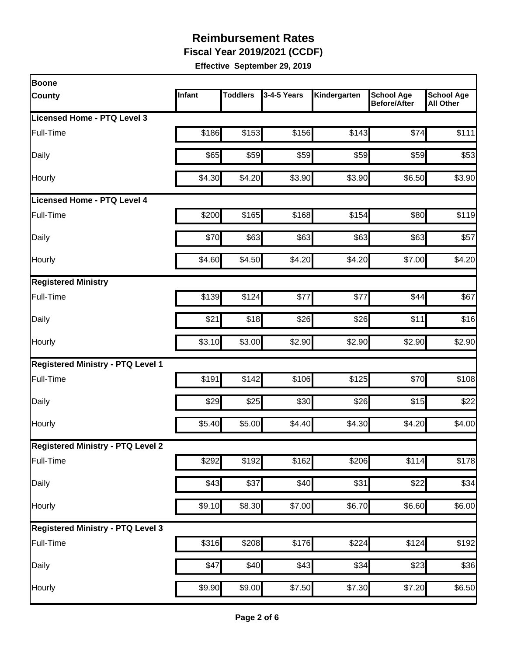**Fiscal Year 2019/2021 (CCDF)** 

| <b>Boone</b>                             |        |                 |             |                    |                                   |                                       |
|------------------------------------------|--------|-----------------|-------------|--------------------|-----------------------------------|---------------------------------------|
| <b>County</b>                            | Infant | <b>Toddlers</b> | 3-4-5 Years | Kindergarten       | <b>School Age</b><br>Before/After | <b>School Age</b><br><b>All Other</b> |
| Licensed Home - PTQ Level 3              |        |                 |             |                    |                                   |                                       |
| Full-Time                                | \$186  | \$153           | \$156       | \$143              | \$74                              | \$111                                 |
| Daily                                    | \$65   | \$59            | \$59        | \$59               | \$59                              | \$53                                  |
| Hourly                                   | \$4.30 | \$4.20          | \$3.90      | \$3.90             | \$6.50                            | \$3.90                                |
| <b>Licensed Home - PTQ Level 4</b>       |        |                 |             |                    |                                   |                                       |
| Full-Time                                | \$200  | \$165           | \$168       | \$154              | \$80                              | \$119                                 |
| Daily                                    | \$70   | \$63            | \$63        | \$63               | \$63                              | \$57                                  |
| Hourly                                   | \$4.60 | \$4.50          | \$4.20      | \$4.20             | \$7.00                            | \$4.20                                |
| <b>Registered Ministry</b>               |        |                 |             |                    |                                   |                                       |
| Full-Time                                | \$139  | \$124           | \$77        | \$77               | \$44                              | \$67                                  |
| Daily                                    | \$21   | \$18            | \$26        | \$26               | \$11                              | \$16                                  |
| Hourly                                   | \$3.10 | \$3.00          | \$2.90      | \$2.90             | \$2.90                            | \$2.90                                |
| <b>Registered Ministry - PTQ Level 1</b> |        |                 |             |                    |                                   |                                       |
| Full-Time                                | \$191  | \$142           | \$106       | \$125              | \$70                              | \$108                                 |
| Daily                                    | \$29   | \$25            | \$30        | \$26               | \$15                              | \$22                                  |
| Hourly                                   | \$5.40 | \$5.00          | \$4.40      | \$4.30             | \$4.20                            | \$4.00                                |
| <b>Registered Ministry - PTQ Level 2</b> |        |                 |             |                    |                                   |                                       |
| Full-Time                                | \$292  | \$192           | \$162       | \$206              | $\overline{$}114$                 | \$178                                 |
| Daily                                    | \$43   | \$37            | \$40        | \$31               | \$22                              | \$34                                  |
| Hourly                                   | \$9.10 | \$8.30          | \$7.00      | \$6.70             | \$6.60                            | \$6.00                                |
| <b>Registered Ministry - PTQ Level 3</b> |        |                 |             |                    |                                   |                                       |
| Full-Time                                | \$316  | \$208]          | \$176       | \$224              | \$124                             | \$192                                 |
| Daily                                    | \$47   | \$40            | \$43        | \$34               | \$23                              | \$36                                  |
| Hourly                                   | \$9.90 | \$9.00          | \$7.50      | $\overline{$7.30}$ | \$7.20                            | \$6.50                                |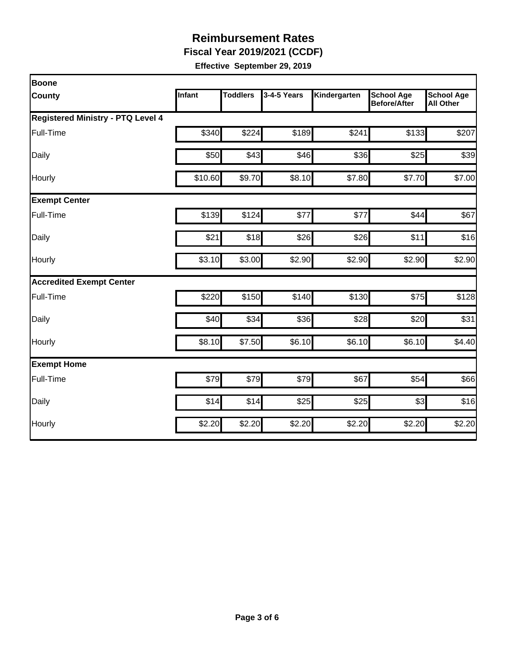**Fiscal Year 2019/2021 (CCDF)** 

| <b>Boone</b>                             |         |                 |             |              |                                          |                                       |  |  |  |
|------------------------------------------|---------|-----------------|-------------|--------------|------------------------------------------|---------------------------------------|--|--|--|
| <b>County</b>                            | Infant  | <b>Toddlers</b> | 3-4-5 Years | Kindergarten | <b>School Age</b><br><b>Before/After</b> | <b>School Age</b><br><b>All Other</b> |  |  |  |
| <b>Registered Ministry - PTQ Level 4</b> |         |                 |             |              |                                          |                                       |  |  |  |
| Full-Time                                | \$340   | \$224           | \$189       | \$241        | \$133                                    | \$207                                 |  |  |  |
| Daily                                    | \$50    | \$43            | \$46        | \$36         | \$25                                     | \$39                                  |  |  |  |
| Hourly                                   | \$10.60 | \$9.70          | \$8.10      | \$7.80       | \$7.70                                   | \$7.00                                |  |  |  |
| <b>Exempt Center</b>                     |         |                 |             |              |                                          |                                       |  |  |  |
| Full-Time                                | \$139   | \$124           | \$77        | \$77         | \$44                                     | \$67                                  |  |  |  |
| Daily                                    | \$21    | \$18            | \$26        | \$26         | \$11                                     | \$16                                  |  |  |  |
| Hourly                                   | \$3.10  | \$3.00          | \$2.90      | \$2.90       | \$2.90                                   | \$2.90                                |  |  |  |
| <b>Accredited Exempt Center</b>          |         |                 |             |              |                                          |                                       |  |  |  |
| Full-Time                                | \$220   | \$150           | \$140       | \$130        | \$75                                     | \$128                                 |  |  |  |
| Daily                                    | \$40    | \$34            | \$36        | \$28         | \$20                                     | \$31                                  |  |  |  |
| Hourly                                   | \$8.10  | \$7.50          | \$6.10      | \$6.10       | \$6.10                                   | \$4.40                                |  |  |  |
| <b>Exempt Home</b>                       |         |                 |             |              |                                          |                                       |  |  |  |
| Full-Time                                | \$79    | \$79            | \$79        | \$67         | \$54                                     | \$66                                  |  |  |  |
| Daily                                    | \$14    | \$14            | \$25        | \$25         | \$3                                      | \$16                                  |  |  |  |
| Hourly                                   | \$2.20  | \$2.20          | \$2.20      | \$2.20       | \$2.20                                   | \$2.20                                |  |  |  |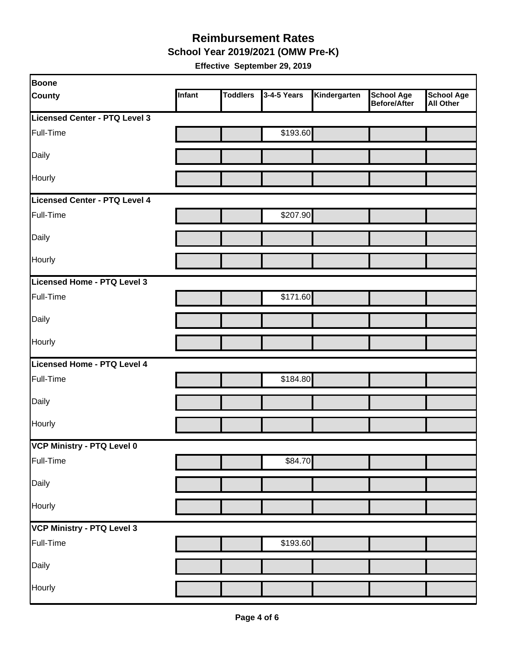**School Year 2019/2021 (OMW Pre-K)** 

| Boone                         |        |                 |             |              |                                   |                                       |
|-------------------------------|--------|-----------------|-------------|--------------|-----------------------------------|---------------------------------------|
| <b>County</b>                 | Infant | <b>Toddlers</b> | 3-4-5 Years | Kindergarten | <b>School Age</b><br>Before/After | <b>School Age</b><br><b>All Other</b> |
| Licensed Center - PTQ Level 3 |        |                 |             |              |                                   |                                       |
| Full-Time                     |        |                 | \$193.60    |              |                                   |                                       |
| Daily                         |        |                 |             |              |                                   |                                       |
| Hourly                        |        |                 |             |              |                                   |                                       |
| Licensed Center - PTQ Level 4 |        |                 |             |              |                                   |                                       |
| Full-Time                     |        |                 | \$207.90    |              |                                   |                                       |
| Daily                         |        |                 |             |              |                                   |                                       |
| Hourly                        |        |                 |             |              |                                   |                                       |
| Licensed Home - PTQ Level 3   |        |                 |             |              |                                   |                                       |
| Full-Time                     |        |                 | \$171.60    |              |                                   |                                       |
| Daily                         |        |                 |             |              |                                   |                                       |
| Hourly                        |        |                 |             |              |                                   |                                       |
| Licensed Home - PTQ Level 4   |        |                 |             |              |                                   |                                       |
| Full-Time                     |        |                 | \$184.80    |              |                                   |                                       |
| Daily                         |        |                 |             |              |                                   |                                       |
| Hourly                        |        |                 |             |              |                                   |                                       |
| VCP Ministry - PTQ Level 0    |        |                 |             |              |                                   |                                       |
| Full-Time                     |        |                 | \$84.70     |              |                                   |                                       |
| Daily                         |        |                 |             |              |                                   |                                       |
| Hourly                        |        |                 |             |              |                                   |                                       |
| VCP Ministry - PTQ Level 3    |        |                 |             |              |                                   |                                       |
| Full-Time                     |        |                 | \$193.60    |              |                                   |                                       |
| Daily                         |        |                 |             |              |                                   |                                       |
| Hourly                        |        |                 |             |              |                                   |                                       |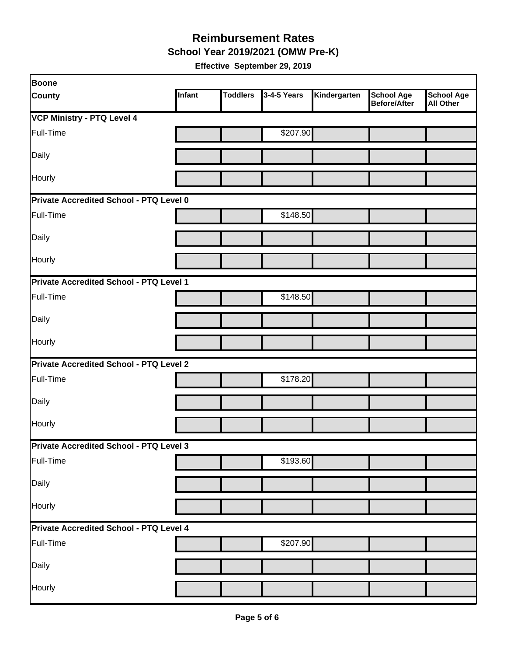**School Year 2019/2021 (OMW Pre-K)** 

| Boone                                   |        |                 |             |              |                                          |                                       |  |  |
|-----------------------------------------|--------|-----------------|-------------|--------------|------------------------------------------|---------------------------------------|--|--|
| <b>County</b>                           | Infant | <b>Toddlers</b> | 3-4-5 Years | Kindergarten | <b>School Age</b><br><b>Before/After</b> | <b>School Age</b><br><b>All Other</b> |  |  |
| <b>VCP Ministry - PTQ Level 4</b>       |        |                 |             |              |                                          |                                       |  |  |
| Full-Time                               |        |                 | \$207.90    |              |                                          |                                       |  |  |
| Daily                                   |        |                 |             |              |                                          |                                       |  |  |
| Hourly                                  |        |                 |             |              |                                          |                                       |  |  |
| Private Accredited School - PTQ Level 0 |        |                 |             |              |                                          |                                       |  |  |
| Full-Time                               |        |                 | \$148.50    |              |                                          |                                       |  |  |
| Daily                                   |        |                 |             |              |                                          |                                       |  |  |
| Hourly                                  |        |                 |             |              |                                          |                                       |  |  |
| Private Accredited School - PTQ Level 1 |        |                 |             |              |                                          |                                       |  |  |
| Full-Time                               |        |                 | \$148.50    |              |                                          |                                       |  |  |
| Daily                                   |        |                 |             |              |                                          |                                       |  |  |
| <b>Hourly</b>                           |        |                 |             |              |                                          |                                       |  |  |
| Private Accredited School - PTQ Level 2 |        |                 |             |              |                                          |                                       |  |  |
| Full-Time                               |        |                 | \$178.20    |              |                                          |                                       |  |  |
| Daily                                   |        |                 |             |              |                                          |                                       |  |  |
| Hourly                                  |        |                 |             |              |                                          |                                       |  |  |
| Private Accredited School - PTQ Level 3 |        |                 |             |              |                                          |                                       |  |  |
| Full-Time                               |        |                 | \$193.60    |              |                                          |                                       |  |  |
| Daily                                   |        |                 |             |              |                                          |                                       |  |  |
| Hourly                                  |        |                 |             |              |                                          |                                       |  |  |
| Private Accredited School - PTQ Level 4 |        |                 |             |              |                                          |                                       |  |  |
| Full-Time                               |        |                 | \$207.90    |              |                                          |                                       |  |  |
| Daily                                   |        |                 |             |              |                                          |                                       |  |  |
| Hourly                                  |        |                 |             |              |                                          |                                       |  |  |